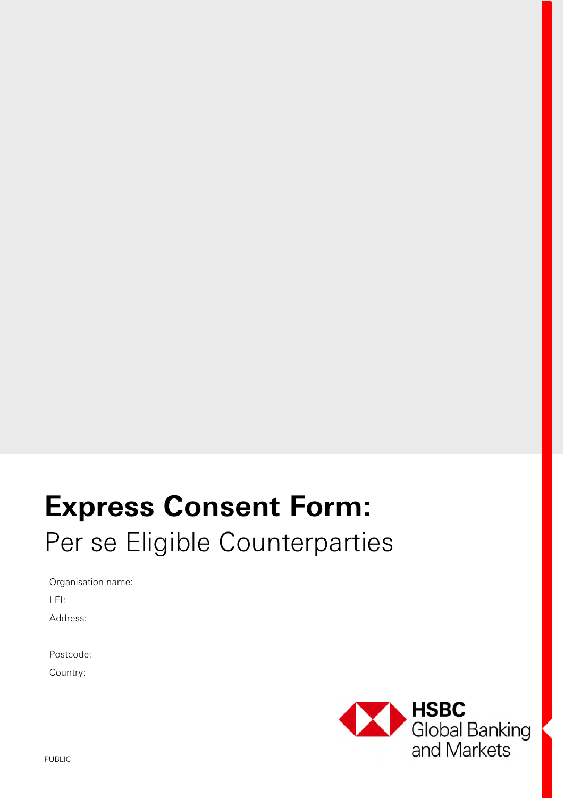# **Express Consent Form:**  Per se Eligible Counterparties

Organisation name:

LEI:

Address:

Postcode:

Country:

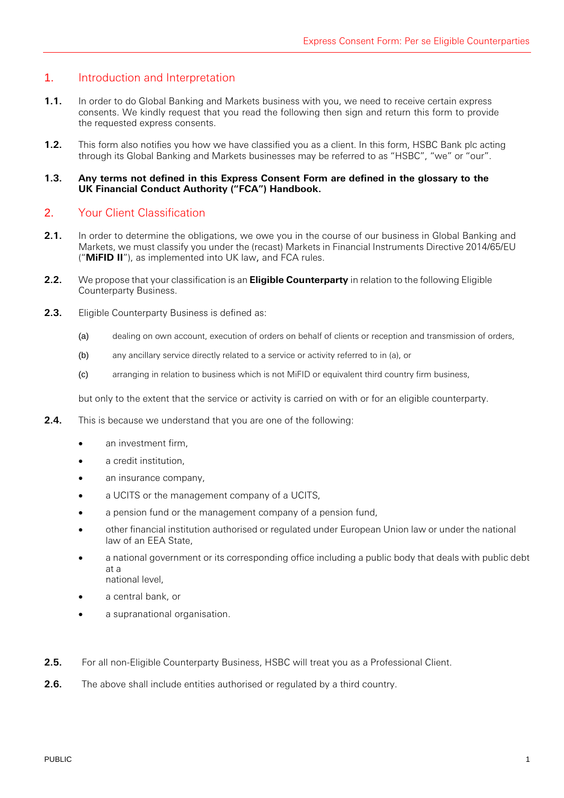# 1. Introduction and Interpretation

- **1.1.** In order to do Global Banking and Markets business with you, we need to receive certain express consents. We kindly request that you read the following then sign and return this form to provide the requested express consents.
- **1.2.** This form also notifies you how we have classified you as a client. In this form, HSBC Bank plc acting through its Global Banking and Markets businesses may be referred to as "HSBC", "we" or "our".

## **1.3. Any terms not defined in this Express Consent Form are defined in the glossary to the UK Financial Conduct Authority ("FCA") Handbook.**

# 2. Your Client Classification

- **2.1.** In order to determine the obligations, we owe you in the course of our business in Global Banking and Markets, we must classify you under the (recast) Markets in Financial Instruments Directive 2014/65/EU ("**MiFID II**"), as implemented into UK law, and FCA rules.
- **2.2.** We propose that your classification is an **Eligible Counterparty** in relation to the following Eligible Counterparty Business.
- **2.3.** Eligible Counterparty Business is defined as:
	- (a) dealing on own account, execution of orders on behalf of clients or reception and transmission of orders,
	- (b) any ancillary service directly related to a service or activity referred to in (a), or
	- (c) arranging in relation to business which is not MiFID or equivalent third country firm business,

but only to the extent that the service or activity is carried on with or for an eligible counterparty.

- **2.4.** This is because we understand that you are one of the following:
	- an investment firm,
	- a credit institution,
	- an insurance company,
	- a UCITS or the management company of a UCITS,
	- a pension fund or the management company of a pension fund,
	- other financial institution authorised or regulated under European Union law or under the national law of an EEA State,
	- a national government or its corresponding office including a public body that deals with public debt at a national level,
	- a central bank, or
	- a supranational organisation.
- **2.5.** For all non-Eligible Counterparty Business, HSBC will treat you as a Professional Client.
- **2.6.** The above shall include entities authorised or regulated by a third country.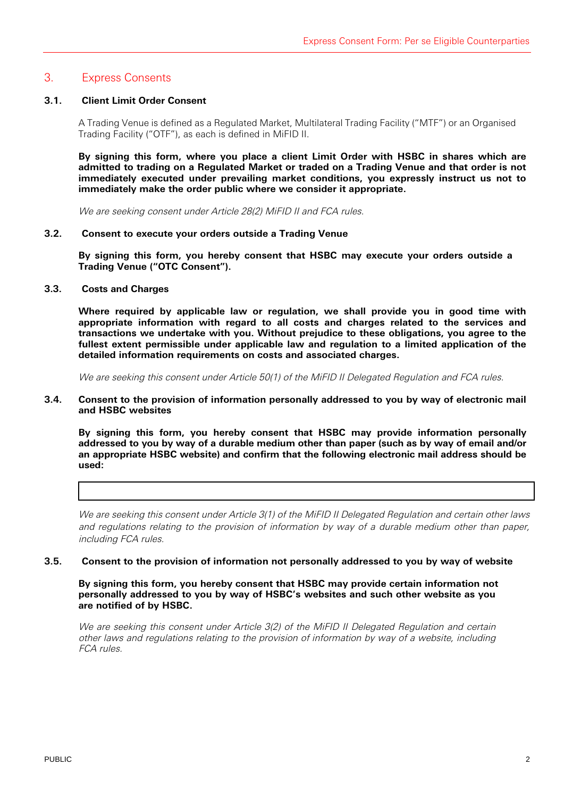# 3. Express Consents

# **3.1. Client Limit Order Consent**

A Trading Venue is defined as a Regulated Market, Multilateral Trading Facility ("MTF") or an Organised Trading Facility ("OTF"), as each is defined in MiFID II.

**By signing this form, where you place a client Limit Order with HSBC in shares which are admitted to trading on a Regulated Market or traded on a Trading Venue and that order is not immediately executed under prevailing market conditions, you expressly instruct us not to immediately make the order public where we consider it appropriate.** 

We are seeking consent under Article 28(2) MiFID II and FCA rules.

## **3.2. Consent to execute your orders outside a Trading Venue**

**By signing this form, you hereby consent that HSBC may execute your orders outside a Trading Venue ("OTC Consent").** 

## **3.3. Costs and Charges**

**Where required by applicable law or regulation, we shall provide you in good time with appropriate information with regard to all costs and charges related to the services and transactions we undertake with you. Without prejudice to these obligations, you agree to the fullest extent permissible under applicable law and regulation to a limited application of the detailed information requirements on costs and associated charges.** 

We are seeking this consent under Article 50(1) of the MiFID II Delegated Regulation and FCA rules.

### **3.4. Consent to the provision of information personally addressed to you by way of electronic mail and HSBC websites**

**By signing this form, you hereby consent that HSBC may provide information personally addressed to you by way of a durable medium other than paper (such as by way of email and/or an appropriate HSBC website) and confirm that the following electronic mail address should be used:** 

We are seeking this consent under Article 3(1) of the MiFID II Delegated Regulation and certain other laws and regulations relating to the provision of information by way of a durable medium other than paper, including FCA rules.

#### **3.5. Consent to the provision of information not personally addressed to you by way of website**

**By signing this form, you hereby consent that HSBC may provide certain information not personally addressed to you by way of HSBC's websites and such other website as you are notified of by HSBC.** 

We are seeking this consent under Article 3(2) of the MiFID II Delegated Regulation and certain other laws and regulations relating to the provision of information by way of a website, including FCA rules.